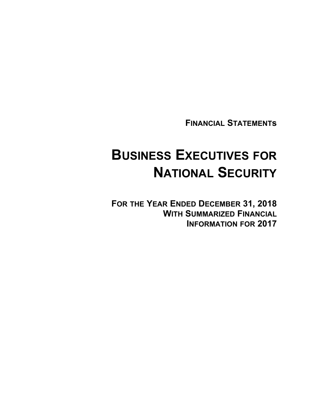**FINANCIAL STATEMENTs**

# **BUSINESS EXECUTIVES FOR NATIONAL SECURITY**

**FOR THE YEAR ENDED DECEMBER 31, 2018 WITH SUMMARIZED FINANCIAL INFORMATION FOR 2017**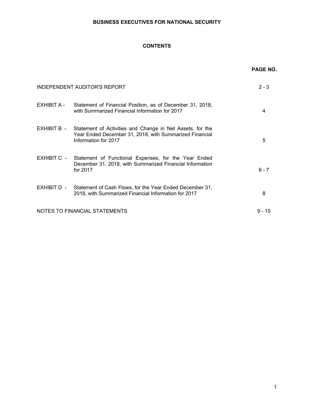# **CONTENTS**

|                    |                                                                                                                                              | <b>PAGE NO.</b> |
|--------------------|----------------------------------------------------------------------------------------------------------------------------------------------|-----------------|
|                    | INDEPENDENT AUDITOR'S REPORT                                                                                                                 | $2 - 3$         |
| EXHIBIT A -        | Statement of Financial Position, as of December 31, 2018,<br>with Summarized Financial Information for 2017                                  | 4               |
| EXHIBIT B -        | Statement of Activities and Change in Net Assets, for the<br>Year Ended December 31, 2018, with Summarized Financial<br>Information for 2017 | 5               |
| EXHIBIT C -        | Statement of Functional Expenses, for the Year Ended<br>December 31, 2018, with Summarized Financial Information<br>for 2017                 | $6 - 7$         |
| <b>EXHIBIT D -</b> | Statement of Cash Flows, for the Year Ended December 31,<br>2018, with Summarized Financial Information for 2017                             | 8               |
|                    | NOTES TO FINANCIAL STATEMENTS                                                                                                                | $9 - 15$        |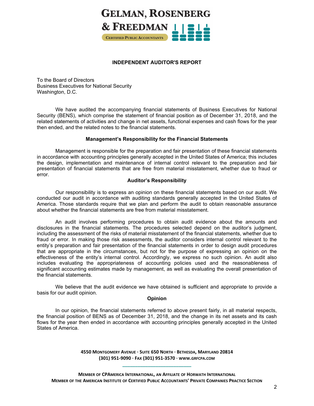

# **INDEPENDENT AUDITOR'S REPORT**

To the Board of Directors Business Executives for National Security Washington, D.C.

We have audited the accompanying financial statements of Business Executives for National Security (BENS), which comprise the statement of financial position as of December 31, 2018, and the related statements of activities and change in net assets, functional expenses and cash flows for the year then ended, and the related notes to the financial statements.

#### **Management's Responsibility for the Financial Statements**

Management is responsible for the preparation and fair presentation of these financial statements in accordance with accounting principles generally accepted in the United States of America; this includes the design, implementation and maintenance of internal control relevant to the preparation and fair presentation of financial statements that are free from material misstatement, whether due to fraud or error.

# **Auditor's Responsibility**

Our responsibility is to express an opinion on these financial statements based on our audit. We conducted our audit in accordance with auditing standards generally accepted in the United States of America. Those standards require that we plan and perform the audit to obtain reasonable assurance about whether the financial statements are free from material misstatement.

An audit involves performing procedures to obtain audit evidence about the amounts and disclosures in the financial statements. The procedures selected depend on the auditor's judgment, including the assessment of the risks of material misstatement of the financial statements, whether due to fraud or error. In making those risk assessments, the auditor considers internal control relevant to the entity's preparation and fair presentation of the financial statements in order to design audit procedures that are appropriate in the circumstances, but not for the purpose of expressing an opinion on the effectiveness of the entity's internal control. Accordingly, we express no such opinion. An audit also includes evaluating the appropriateness of accounting policies used and the reasonableness of significant accounting estimates made by management, as well as evaluating the overall presentation of the financial statements.

We believe that the audit evidence we have obtained is sufficient and appropriate to provide a basis for our audit opinion.

#### **Opinion**

In our opinion, the financial statements referred to above present fairly, in all material respects, the financial position of BENS as of December 31, 2018, and the change in its net assets and its cash flows for the year then ended in accordance with accounting principles generally accepted in the United States of America.

> **4550 MONTGOMERY AVENUE · SUITE 650 NORTH · BETHESDA, MARYLAND 20814 (301) 951-9090 · FAX (301) 951-3570 · WWW.GRFCPA.COM \_\_\_\_\_\_\_\_\_\_\_\_\_\_\_\_\_\_\_\_\_\_\_\_\_\_\_**

**MEMBER OF CPAMERICA INTERNATIONAL, AN AFFILIATE OF HORWATH INTERNATIONAL** MEMBER OF THE AMERICAN INSTITUTE OF CERTIFIED PUBLIC ACCOUNTANTS' PRIVATE COMPANIES PRACTICE SECTION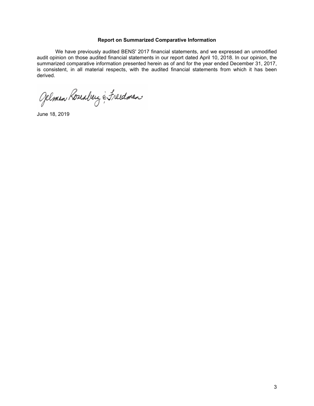#### **Report on Summarized Comparative Information**

We have previously audited BENS' 2017 financial statements, and we expressed an unmodified audit opinion on those audited financial statements in our report dated April 10, 2018. In our opinion, the summarized comparative information presented herein as of and for the year ended December 31, 2017, is consistent, in all material respects, with the audited financial statements from which it has been derived.

Gelman Roseaberg & Freedman

June 18, 2019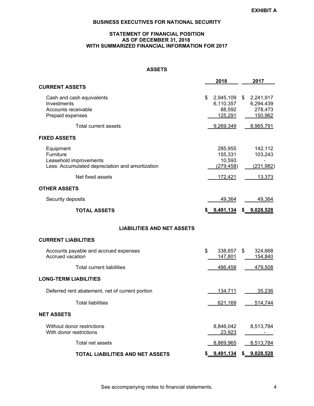# **STATEMENT OF FINANCIAL POSITION AS OF DECEMBER 31, 2018 WITH SUMMARIZED FINANCIAL INFORMATION FOR 2017**

# **ASSETS**

|                                                                                                                         | 2018                                                  |               | 2017                                         |
|-------------------------------------------------------------------------------------------------------------------------|-------------------------------------------------------|---------------|----------------------------------------------|
| <b>CURRENT ASSETS</b>                                                                                                   |                                                       |               |                                              |
| Cash and cash equivalents<br>Investments<br>Accounts receivable<br>Prepaid expenses                                     | \$<br>2,945,109<br>6,110,357<br>88,592<br>125,291     | $\mathfrak s$ | 2,241,917<br>6,294,439<br>278,473<br>150,962 |
| <b>Total current assets</b>                                                                                             | 9,269,349                                             |               | 8,965,791                                    |
| <b>FIXED ASSETS</b>                                                                                                     |                                                       |               |                                              |
| Equipment<br>Furniture<br>Leasehold improvements<br>Less: Accumulated depreciation and amortization<br>Net fixed assets | 285,955<br>155,331<br>10,593<br>(279, 458)<br>172,421 |               | 142,112<br>103,243<br>(231, 982)<br>13,373   |
| <b>OTHER ASSETS</b>                                                                                                     |                                                       |               |                                              |
| Security deposits                                                                                                       | 49,364                                                |               | 49,364                                       |
| <b>TOTAL ASSETS</b>                                                                                                     | 9,491,134                                             |               | \$9,028,528                                  |
| <b>LIABILITIES AND NET ASSETS</b>                                                                                       |                                                       |               |                                              |
| <b>CURRENT LIABILITIES</b>                                                                                              |                                                       |               |                                              |
| Accounts payable and accrued expenses<br>Accrued vacation                                                               | \$<br>338,657<br>147,801                              | \$            | 324,668<br>154,840                           |
| <b>Total current liabilities</b>                                                                                        | 486,458                                               |               | 479,508                                      |
| <b>LONG-TERM LIABILITIES</b>                                                                                            |                                                       |               |                                              |
| Deferred rent abatement, net of current portion                                                                         | 134,711                                               |               | 35,236                                       |
| <b>Total liabilities</b>                                                                                                | 621,169                                               |               | 514,744                                      |
| <b>NET ASSETS</b>                                                                                                       |                                                       |               |                                              |
| Without donor restrictions<br>With donor restrictions                                                                   | 8,846,042<br>23,923                                   |               | 8,513,784                                    |
| Total net assets                                                                                                        | 8,869,965                                             |               | 8,513,784                                    |
| TOTAL LIABILITIES AND NET ASSETS                                                                                        | 9,491,134                                             | \$            | 9,028,528                                    |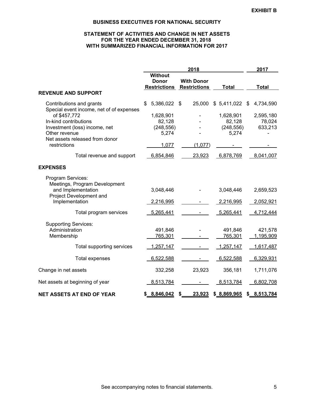# **STATEMENT OF ACTIVITIES AND CHANGE IN NET ASSETS FOR THE YEAR ENDED DECEMBER 31, 2018 WITH SUMMARIZED FINANCIAL INFORMATION FOR 2017**

|                                                                      |    |                                                       |      | 2018                                     |              |                 | 2017            |
|----------------------------------------------------------------------|----|-------------------------------------------------------|------|------------------------------------------|--------------|-----------------|-----------------|
|                                                                      |    | <b>Without</b><br><b>Donor</b><br><b>Restrictions</b> |      | <b>With Donor</b><br><b>Restrictions</b> | <b>Total</b> |                 | <b>Total</b>    |
| <b>REVENUE AND SUPPORT</b>                                           |    |                                                       |      |                                          |              |                 |                 |
| Contributions and grants<br>Special event income, net of of expenses | \$ | 5,386,022                                             | - \$ | 25,000                                   |              | $$5,411,022$ \$ | 4,734,590       |
| of \$457,772                                                         |    | 1,628,901                                             |      |                                          |              | 1,628,901       | 2,595,180       |
| In-kind contributions                                                |    | 82,128                                                |      |                                          |              | 82,128          | 78,024          |
| Investment (loss) income, net                                        |    | (248, 556)                                            |      |                                          |              | (248, 556)      | 633,213         |
| Other revenue                                                        |    | 5,274                                                 |      |                                          |              | 5,274           |                 |
| Net assets released from donor                                       |    |                                                       |      |                                          |              |                 |                 |
| restrictions                                                         |    | 1,077                                                 |      | (1,077)                                  |              |                 |                 |
| Total revenue and support                                            |    | 6,854,846                                             |      | 23,923                                   |              | 6,878,769       | 8,041,007       |
| <b>EXPENSES</b>                                                      |    |                                                       |      |                                          |              |                 |                 |
| Program Services:<br>Meetings, Program Development                   |    |                                                       |      |                                          |              |                 |                 |
| and Implementation<br>Project Development and                        |    | 3,048,446                                             |      |                                          |              | 3,048,446       | 2,659,523       |
| Implementation                                                       |    | 2,216,995                                             |      |                                          |              | 2,216,995       | 2,052,921       |
| Total program services                                               |    | 5,265,441                                             |      |                                          |              | 5,265,441       | 4,712,444       |
| <b>Supporting Services:</b>                                          |    |                                                       |      |                                          |              |                 |                 |
| Administration                                                       |    | 491,846                                               |      |                                          |              | 491,846         | 421,578         |
| Membership                                                           |    | 765,301                                               |      |                                          |              | 765,301         | 1,195,909       |
| Total supporting services                                            |    | 1,257,147                                             |      |                                          |              | 1,257,147       | 1,617,487       |
| <b>Total expenses</b>                                                |    | 6,522,588                                             |      |                                          |              | 6,522,588       | 6,329,931       |
| Change in net assets                                                 |    | 332,258                                               |      | 23,923                                   |              | 356,181         | 1,711,076       |
|                                                                      |    |                                                       |      |                                          |              |                 |                 |
| Net assets at beginning of year                                      |    | 8,513,784                                             |      |                                          |              | 8,513,784       | 6,802,708       |
| <b>NET ASSETS AT END OF YEAR</b>                                     |    | \$8,846,042                                           | \$   | 23,923                                   |              | \$8,869,965     | \$<br>8,513,784 |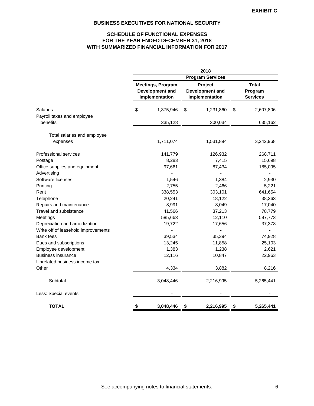# **SCHEDULE OF FUNCTIONAL EXPENSES FOR THE YEAR ENDED DECEMBER 31, 2018 WITH SUMMARIZED FINANCIAL INFORMATION FOR 2017**

|                                     |                                                               | 2018                                         |                                            |           |  |
|-------------------------------------|---------------------------------------------------------------|----------------------------------------------|--------------------------------------------|-----------|--|
|                                     |                                                               | <b>Program Services</b>                      |                                            |           |  |
|                                     | <b>Meetings, Program</b><br>Development and<br>Implementation | Project<br>Development and<br>Implementation | <b>Total</b><br>Program<br><b>Services</b> |           |  |
| <b>Salaries</b>                     | \$<br>1,375,946                                               | \$<br>1,231,860                              | \$                                         | 2,607,806 |  |
| Payroll taxes and employee          |                                                               |                                              |                                            |           |  |
| benefits                            | 335,128                                                       | 300,034                                      |                                            | 635,162   |  |
| Total salaries and employee         |                                                               |                                              |                                            |           |  |
| expenses                            | 1,711,074                                                     | 1,531,894                                    |                                            | 3,242,968 |  |
| <b>Professional services</b>        | 141,779                                                       | 126,932                                      |                                            | 268,711   |  |
| Postage                             | 8,283                                                         | 7,415                                        |                                            | 15,698    |  |
| Office supplies and equipment       | 97,661                                                        | 87,434                                       |                                            | 185,095   |  |
| Advertising                         |                                                               |                                              |                                            |           |  |
| Software licenses                   | 1,546                                                         | 1,384                                        |                                            | 2,930     |  |
| Printing                            | 2,755                                                         | 2,466                                        |                                            | 5,221     |  |
| Rent                                | 338,553                                                       | 303,101                                      |                                            | 641,654   |  |
| Telephone                           | 20,241                                                        | 18,122                                       |                                            | 38,363    |  |
| Repairs and maintenance             | 8,991                                                         | 8,049                                        |                                            | 17,040    |  |
| Travel and subsistence              | 41,566                                                        | 37,213                                       |                                            | 78,779    |  |
| Meetings                            | 585,663                                                       | 12,110                                       |                                            | 597,773   |  |
| Depreciation and amortization       | 19,722                                                        | 17,656                                       |                                            | 37,378    |  |
| Write off of leasehold improvements | L,                                                            | ٠                                            |                                            | -         |  |
| <b>Bank</b> fees                    | 39,534                                                        | 35,394                                       |                                            | 74,928    |  |
| Dues and subscriptions              | 13,245                                                        | 11,858                                       |                                            | 25,103    |  |
| Employee development                | 1,383                                                         | 1,238                                        |                                            | 2,621     |  |
| <b>Business insurance</b>           | 12,116                                                        | 10,847                                       |                                            | 22,963    |  |
| Unrelated business income tax       |                                                               |                                              |                                            |           |  |
| Other                               | 4,334                                                         | 3,882                                        |                                            | 8,216     |  |
| Subtotal                            | 3,048,446                                                     | 2,216,995                                    |                                            | 5,265,441 |  |
| Less: Special events                |                                                               |                                              |                                            |           |  |
| <b>TOTAL</b>                        | \$<br>3,048,446                                               | \$<br>2,216,995                              | \$                                         | 5,265,441 |  |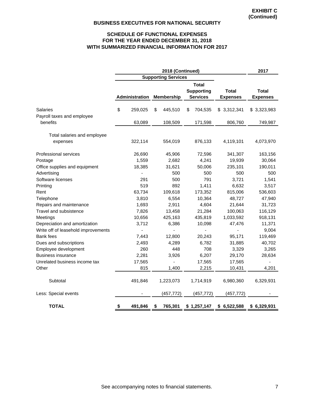# **SCHEDULE OF FUNCTIONAL EXPENSES FOR THE YEAR ENDED DECEMBER 31, 2018 WITH SUMMARIZED FINANCIAL INFORMATION FOR 2017**

|                                                                      | 2018 (Continued)                    |                       |    |                                                      |                                 |                                 |                           | 2017                               |
|----------------------------------------------------------------------|-------------------------------------|-----------------------|----|------------------------------------------------------|---------------------------------|---------------------------------|---------------------------|------------------------------------|
|                                                                      |                                     |                       |    | <b>Supporting Services</b>                           |                                 |                                 |                           |                                    |
|                                                                      | Administration<br><b>Membership</b> |                       |    | <b>Total</b><br><b>Supporting</b><br><b>Services</b> | <b>Total</b><br><b>Expenses</b> | <b>Total</b><br><b>Expenses</b> |                           |                                    |
| <b>Salaries</b><br>Payroll taxes and employee<br>benefits            | \$                                  | 259,025<br>63,089     | \$ | 445,510<br>108,509                                   | \$                              | 704,535<br>171,598              | \$3,312,341<br>806,760    | \$3,323,983<br>749,987             |
| Total salaries and employee<br>expenses                              |                                     | 322,114               |    | 554,019                                              |                                 | 876,133                         | 4,119,101                 | 4,073,970                          |
| Professional services<br>Postage                                     |                                     | 26,690<br>1,559       |    | 45,906<br>2,682                                      |                                 | 72,596<br>4,241                 | 341,307<br>19,939         | 163,156<br>30,064                  |
| Office supplies and equipment<br>Advertising                         |                                     | 18,385<br>÷,          |    | 31,621<br>500                                        |                                 | 50,006<br>500<br>791            | 235,101<br>500            | 190,011<br>500                     |
| Software licenses<br>Printing<br>Rent                                |                                     | 291<br>519<br>63,734  |    | 500<br>892<br>109,618                                |                                 | 1,411<br>173,352                | 3,721<br>6,632<br>815,006 | 1,541<br>3,517<br>536,603          |
| Telephone<br>Repairs and maintenance                                 |                                     | 3,810<br>1,693        |    | 6,554<br>2,911                                       |                                 | 10,364<br>4,604                 | 48,727<br>21,644          | 47,940<br>31,723                   |
| Travel and subsistence<br>Meetings                                   |                                     | 7,826<br>10,656       |    | 13,458<br>425,163                                    |                                 | 21,284<br>435,819               | 100,063<br>1,033,592      | 116,129<br>918,131                 |
| Depreciation and amortization<br>Write off of leasehold improvements |                                     | 3,712                 |    | 6,386                                                |                                 | 10,098                          | 47,476                    | 11,371<br>9,004                    |
| <b>Bank fees</b><br>Dues and subscriptions<br>Employee development   |                                     | 7,443<br>2,493<br>260 |    | 12,800<br>4,289<br>448                               |                                 | 20,243<br>6,782<br>708          | 95,171<br>31,885<br>3,329 | 119,469<br>40,702<br>3,265         |
| <b>Business insurance</b><br>Unrelated business income tax           |                                     | 2,281<br>17,565       |    | 3,926<br>$\qquad \qquad \blacksquare$                |                                 | 6,207<br>17,565                 | 29,170<br>17,565          | 28,634<br>$\overline{\phantom{a}}$ |
| Other                                                                |                                     | 815                   |    | 1,400                                                |                                 | 2,215                           | 10,431                    | 4,201                              |
| Subtotal                                                             |                                     | 491,846               |    | 1,223,073                                            |                                 | 1,714,919                       | 6,980,360                 | 6,329,931                          |
| Less: Special events                                                 |                                     |                       |    | (457, 772)                                           |                                 | (457, 772)                      | (457, 772)                |                                    |
| <b>TOTAL</b>                                                         | \$                                  | 491,846               | \$ | 765,301                                              |                                 | \$1,257,147                     | \$6,522,588               | \$6,329,931                        |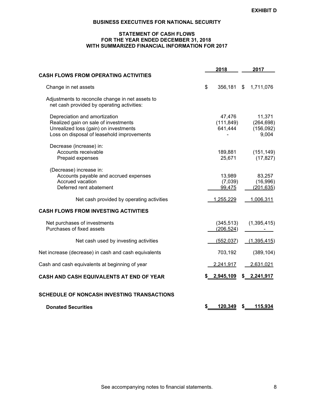# **STATEMENT OF CASH FLOWS FOR THE YEAR ENDED DECEMBER 31, 2018 WITH SUMMARIZED FINANCIAL INFORMATION FOR 2017**

|                                                                                                                                                              | 2018                            | 2017                                       |
|--------------------------------------------------------------------------------------------------------------------------------------------------------------|---------------------------------|--------------------------------------------|
| <b>CASH FLOWS FROM OPERATING ACTIVITIES</b>                                                                                                                  |                                 |                                            |
| Change in net assets                                                                                                                                         | \$<br>356,181                   | \$<br>1,711,076                            |
| Adjustments to reconcile change in net assets to<br>net cash provided by operating activities:                                                               |                                 |                                            |
| Depreciation and amortization<br>Realized gain on sale of investments<br>Unrealized loss (gain) on investments<br>Loss on disposal of leasehold improvements | 47,476<br>(111, 849)<br>641,444 | 11,371<br>(264, 698)<br>(156,092)<br>9,004 |
| Decrease (increase) in:<br>Accounts receivable<br>Prepaid expenses                                                                                           | 189,881<br>25,671               | (151, 149)<br>(17, 827)                    |
| (Decrease) increase in:<br>Accounts payable and accrued expenses<br>Accrued vacation<br>Deferred rent abatement                                              | 13,989<br>(7,039)<br>99,475     | 83,257<br>(16,996)<br>(201, 635)           |
| Net cash provided by operating activities                                                                                                                    | 1,255,229                       | 1,006,311                                  |
| <b>CASH FLOWS FROM INVESTING ACTIVITIES</b>                                                                                                                  |                                 |                                            |
| Net purchases of investments<br>Purchases of fixed assets                                                                                                    | (345, 513)<br>(206, 524)        | (1,395,415)                                |
| Net cash used by investing activities                                                                                                                        | (552, 037)                      | (1,395,415)                                |
| Net increase (decrease) in cash and cash equivalents                                                                                                         | 703,192                         | (389, 104)                                 |
| Cash and cash equivalents at beginning of year                                                                                                               | 2,241,917                       | 2,631,021                                  |
| CASH AND CASH EQUIVALENTS AT END OF YEAR                                                                                                                     | \$2,945,109                     | \$ 2,241,917                               |
| <b>SCHEDULE OF NONCASH INVESTING TRANSACTIONS</b>                                                                                                            |                                 |                                            |
| <b>Donated Securities</b>                                                                                                                                    | \$<br>120,349                   | \$<br>115,934                              |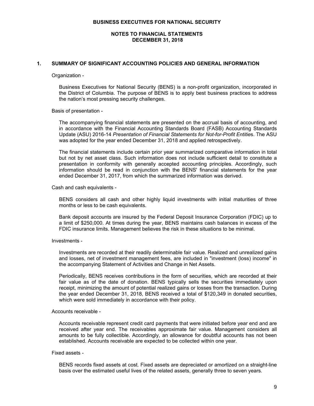#### **NOTES TO FINANCIAL STATEMENTS DECEMBER 31, 2018**

#### **1. SUMMARY OF SIGNIFICANT ACCOUNTING POLICIES AND GENERAL INFORMATION**

#### Organization -

Business Executives for National Security (BENS) is a non-profit organization, incorporated in the District of Columbia. The purpose of BENS is to apply best business practices to address the nation's most pressing security challenges.

#### Basis of presentation -

The accompanying financial statements are presented on the accrual basis of accounting, and in accordance with the Financial Accounting Standards Board (FASB) Accounting Standards Update (ASU) 2016-14 *Presentation of Financial Statements for Not-for-Profit Entitie*s. The ASU was adopted for the year ended December 31, 2018 and applied retrospectively.

The financial statements include certain prior year summarized comparative information in total but not by net asset class. Such information does not include sufficient detail to constitute a presentation in conformity with generally accepted accounting principles. Accordingly, such information should be read in conjunction with the BENS' financial statements for the year ended December 31, 2017, from which the summarized information was derived.

Cash and cash equivalents -

BENS considers all cash and other highly liquid investments with initial maturities of three months or less to be cash equivalents.

Bank deposit accounts are insured by the Federal Deposit Insurance Corporation (FDIC) up to a limit of \$250,000. At times during the year, BENS maintains cash balances in excess of the FDIC insurance limits. Management believes the risk in these situations to be minimal.

#### Investments -

Investments are recorded at their readily determinable fair value. Realized and unrealized gains and losses, net of investment management fees, are included in "investment (loss) income" in the accompanying Statement of Activities and Change in Net Assets.

Periodically, BENS receives contributions in the form of securities, which are recorded at their fair value as of the date of donation. BENS typically sells the securities immediately upon receipt, minimizing the amount of potential realized gains or losses from the transaction. During the year ended December 31, 2018, BENS received a total of \$120,349 in donated securities, which were sold immediately in accordance with their policy.

#### Accounts receivable -

Accounts receivable represent credit card payments that were initiated before year end and are received after year end. The receivables approximate fair value. Management considers all amounts to be fully collectible. Accordingly, an allowance for doubtful accounts has not been established. Accounts receivable are expected to be collected within one year.

#### Fixed assets -

BENS records fixed assets at cost. Fixed assets are depreciated or amortized on a straight-line basis over the estimated useful lives of the related assets, generally three to seven years.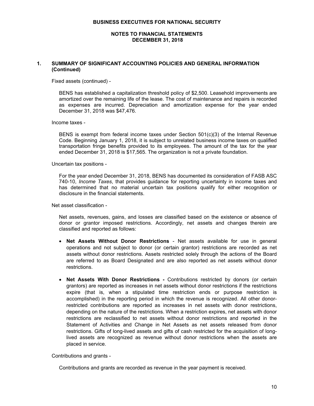**NOTES TO FINANCIAL STATEMENTS DECEMBER 31, 2018**

# **1. SUMMARY OF SIGNIFICANT ACCOUNTING POLICIES AND GENERAL INFORMATION (Continued)**

Fixed assets (continued) -

BENS has established a capitalization threshold policy of \$2,500. Leasehold improvements are amortized over the remaining life of the lease. The cost of maintenance and repairs is recorded as expenses are incurred. Depreciation and amortization expense for the year ended December 31, 2018 was \$47,476.

Income taxes -

BENS is exempt from federal income taxes under Section 501(c)(3) of the Internal Revenue Code. Beginning January 1, 2018, it is subject to unrelated business income taxes on qualified transportation fringe benefits provided to its employees. The amount of the tax for the year ended December 31, 2018 is \$17,565. The organization is not a private foundation.

Uncertain tax positions -

For the year ended December 31, 2018, BENS has documented its consideration of FASB ASC 740-10, *Income Taxes*, that provides guidance for reporting uncertainty in income taxes and has determined that no material uncertain tax positions qualify for either recognition or disclosure in the financial statements.

Net asset classification -

Net assets, revenues, gains, and losses are classified based on the existence or absence of donor or grantor imposed restrictions. Accordingly, net assets and changes therein are classified and reported as follows:

- **Net Assets Without Donor Restrictions** Net assets available for use in general operations and not subject to donor (or certain grantor) restrictions are recorded as net assets without donor restrictions. Assets restricted solely through the actions of the Board are referred to as Board Designated and are also reported as net assets without donor restrictions.
- **Net Assets With Donor Restrictions -** Contributions restricted by donors (or certain grantors) are reported as increases in net assets without donor restrictions if the restrictions expire (that is, when a stipulated time restriction ends or purpose restriction is accomplished) in the reporting period in which the revenue is recognized. All other donorrestricted contributions are reported as increases in net assets with donor restrictions, depending on the nature of the restrictions. When a restriction expires, net assets with donor restrictions are reclassified to net assets without donor restrictions and reported in the Statement of Activities and Change in Net Assets as net assets released from donor restrictions. Gifts of long-lived assets and gifts of cash restricted for the acquisition of longlived assets are recognized as revenue without donor restrictions when the assets are placed in service.

Contributions and grants -

Contributions and grants are recorded as revenue in the year payment is received.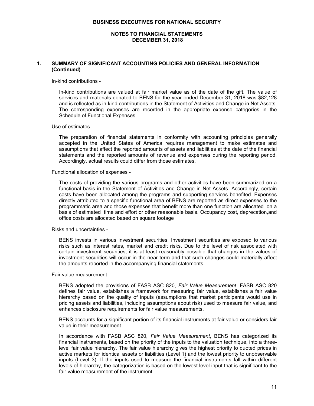**NOTES TO FINANCIAL STATEMENTS DECEMBER 31, 2018**

# **1. SUMMARY OF SIGNIFICANT ACCOUNTING POLICIES AND GENERAL INFORMATION (Continued)**

In-kind contributions -

In-kind contributions are valued at fair market value as of the date of the gift. The value of services and materials donated to BENS for the year ended December 31, 2018 was \$82,128 and is reflected as in-kind contributions in the Statement of Activities and Change in Net Assets. The corresponding expenses are recorded in the appropriate expense categories in the Schedule of Functional Expenses.

#### Use of estimates -

The preparation of financial statements in conformity with accounting principles generally accepted in the United States of America requires management to make estimates and assumptions that affect the reported amounts of assets and liabilities at the date of the financial statements and the reported amounts of revenue and expenses during the reporting period. Accordingly, actual results could differ from those estimates.

#### Functional allocation of expenses -

The costs of providing the various programs and other activities have been summarized on a functional basis in the Statement of Activities and Change in Net Assets. Accordingly, certain costs have been allocated among the programs and supporting services benefited. Expenses directly attributed to a specific functional area of BENS are reported as direct expenses to the programmatic area and those expenses that benefit more than one function are allocated on a basis of estimated time and effort or other reasonable basis. Occupancy cost, deprecation,and office costs are allocated based on square footage

Risks and uncertainties -

BENS invests in various investment securities. Investment securities are exposed to various risks such as interest rates, market and credit risks. Due to the level of risk associated with certain investment securities, it is at least reasonably possible that changes in the values of investment securities will occur in the near term and that such changes could materially affect the amounts reported in the accompanying financial statements.

Fair value measurement -

BENS adopted the provisions of FASB ASC 820, *Fair Value Measurement*. FASB ASC 820 defines fair value, establishes a framework for measuring fair value, establishes a fair value hierarchy based on the quality of inputs (assumptions that market participants would use in pricing assets and liabilities, including assumptions about risk) used to measure fair value, and enhances disclosure requirements for fair value measurements.

BENS accounts for a significant portion of its financial instruments at fair value or considers fair value in their measurement.

In accordance with FASB ASC 820, *Fair Value Measurement*, BENS has categorized its financial instruments, based on the priority of the inputs to the valuation technique, into a threelevel fair value hierarchy. The fair value hierarchy gives the highest priority to quoted prices in active markets for identical assets or liabilities (Level 1) and the lowest priority to unobservable inputs (Level 3). If the inputs used to measure the financial instruments fall within different levels of hierarchy, the categorization is based on the lowest level input that is significant to the fair value measurement of the instrument.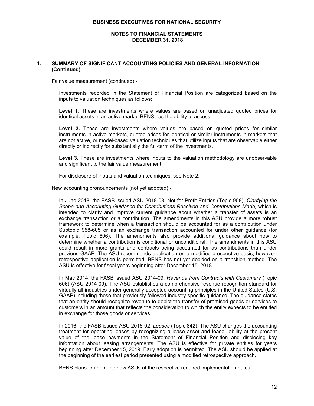#### **NOTES TO FINANCIAL STATEMENTS DECEMBER 31, 2018**

#### **1. SUMMARY OF SIGNIFICANT ACCOUNTING POLICIES AND GENERAL INFORMATION (Continued)**

Fair value measurement (continued) -

Investments recorded in the Statement of Financial Position are categorized based on the inputs to valuation techniques as follows:

Level 1. These are investments where values are based on unadiusted quoted prices for identical assets in an active market BENS has the ability to access.

**Level 2.** These are investments where values are based on quoted prices for similar instruments in active markets, quoted prices for identical or similar instruments in markets that are not active, or model-based valuation techniques that utilize inputs that are observable either directly or indirectly for substantially the full-term of the investments.

Level 3. These are investments where inputs to the valuation methodology are unobservable and significant to the fair value measurement.

For disclosure of inputs and valuation techniques, see Note 2.

New accounting pronouncements (not yet adopted) -

In June 2018, the FASB issued ASU 2018-08, Not-for-Profit Entities (Topic 958): *Clarifying the Scope and Accounting Guidance for Contributions Received and Contributions Made,* which is intended to clarify and improve current guidance about whether a transfer of assets is an exchange transaction or a contribution. The amendments in this ASU provide a more robust framework to determine when a transaction should be accounted for as a contribution under Subtopic 958-605 or as an exchange transaction accounted for under other guidance (for example, Topic 606). The amendments also provide additional guidance about how to determine whether a contribution is conditional or unconditional. The amendments in this ASU could result in more grants and contracts being accounted for as contributions than under previous GAAP. The ASU recommends application on a modified prospective basis; however, retrospective application is permitted. BENS has not yet decided on a transition method. The ASU is effective for fiscal years beginning after December 15, 2018.

In May 2014, the FASB issued ASU 2014-09, *Revenue from Contracts with Customers* (Topic 606) (ASU 2014-09). The ASU establishes a comprehensive revenue recognition standard for virtually all industries under generally accepted accounting principles in the United States (U.S. GAAP) including those that previously followed industry-specific guidance. The guidance states that an entity should recognize revenue to depict the transfer of promised goods or services to customers in an amount that reflects the consideration to which the entity expects to be entitled in exchange for those goods or services.

In 2016, the FASB issued ASU 2016-02, *Leases* (Topic 842). The ASU changes the accounting treatment for operating leases by recognizing a lease asset and lease liability at the present value of the lease payments in the Statement of Financial Position and disclosing key information about leasing arrangements. The ASU is effective for private entities for years beginning after December 15, 2019. Early adoption is permitted. The ASU should be applied at the beginning of the earliest period presented using a modified retrospective approach.

BENS plans to adopt the new ASUs at the respective required implementation dates.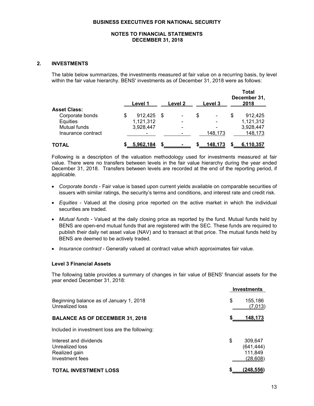#### **NOTES TO FINANCIAL STATEMENTS DECEMBER 31, 2018**

# **2. INVESTMENTS**

The table below summarizes, the investments measured at fair value on a recurring basis, by level within the fair value hierarchy. BENS' investments as of December 31, 2018 were as follows:

|                     | Level 1   |      | Level 2                  |   | Level 3 |   | <b>Total</b><br>December 31,<br>2018 |
|---------------------|-----------|------|--------------------------|---|---------|---|--------------------------------------|
| <b>Asset Class:</b> |           |      |                          |   |         |   |                                      |
| Corporate bonds     | 912,425   | - \$ |                          | S |         | S | 912,425                              |
| Equities            | 1,121,312 |      |                          |   |         |   | 1,121,312                            |
| Mutual funds        | 3,928,447 |      | $\overline{\phantom{0}}$ |   |         |   | 3,928,447                            |
| Insurance contract  |           |      |                          |   | 148,173 |   | 148,173                              |
| <b>TOTAL</b>        | 5,962,184 |      |                          | S | 148,173 |   | 6,110,357                            |

Following is a description of the valuation methodology used for investments measured at fair value. There were no transfers between levels in the fair value hierarchy during the year ended December 31, 2018. Transfers between levels are recorded at the end of the reporting period, if applicable.

- *Corporate bonds* Fair value is based upon current yields available on comparable securities of issuers with similar ratings, the security's terms and conditions, and interest rate and credit risk.
- *Equities* Valued at the closing price reported on the active market in which the individual securities are traded.
- *Mutual funds* Valued at the daily closing price as reported by the fund. Mutual funds held by BENS are open-end mutual funds that are registered with the SEC. These funds are required to publish their daily net asset value (NAV) and to transact at that price. The mutual funds held by BENS are deemed to be actively traded.
- *Insurance contract* Generally valued at contract value which approximates fair value.

#### **Level 3 Financial Assets**

The following table provides a summary of changes in fair value of BENS' financial assets for the year ended December 31, 2018:

|                                                                               |    | <b>Investments</b>                          |
|-------------------------------------------------------------------------------|----|---------------------------------------------|
| Beginning balance as of January 1, 2018<br>Unrealized loss                    | \$ | 155,186<br>(7,013)                          |
| <b>BALANCE AS OF DECEMBER 31, 2018</b>                                        | S  | <u>148,173</u>                              |
| Included in investment loss are the following:                                |    |                                             |
| Interest and dividends<br>Unrealized loss<br>Realized gain<br>Investment fees | \$ | 309,647<br>(641,444)<br>111,849<br>(28,608) |
| <b>TOTAL INVESTMENT LOSS</b>                                                  | S  | (248.556)                                   |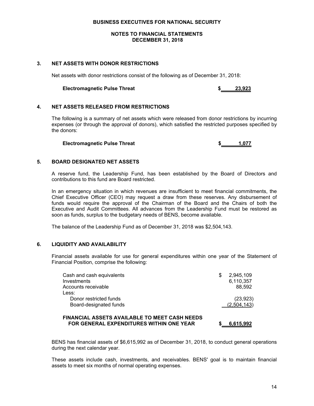#### **NOTES TO FINANCIAL STATEMENTS DECEMBER 31, 2018**

# **3. NET ASSETS WITH DONOR RESTRICTIONS**

Net assets with donor restrictions consist of the following as of December 31, 2018:

#### **Electromagnetic Pulse Threat \$ 23,923**

# **4. NET ASSETS RELEASED FROM RESTRICTIONS**

The following is a summary of net assets which were released from donor restrictions by incurring expenses (or through the approval of donors), which satisfied the restricted purposes specified by the donors:

**Electromagnetic Pulse Threat \$ 1,077**

# **5. BOARD DESIGNATED NET ASSETS**

A reserve fund, the Leadership Fund, has been established by the Board of Directors and contributions to this fund are Board restricted.

In an emergency situation in which revenues are insufficient to meet financial commitments, the Chief Executive Officer (CEO) may request a draw from these reserves. Any disbursement of funds would require the approval of the Chairman of the Board and the Chairs of both the Executive and Audit Committees. All advances from the Leadership Fund must be restored as soon as funds, surplus to the budgetary needs of BENS, become available.

The balance of the Leadership Fund as of December 31, 2018 was \$2,504,143.

# **6. LIQUIDITY AND AVAILABILITY**

Financial assets available for use for general expenditures within one year of the Statement of Financial Position, comprise the following:

| Cash and cash equivalents<br>Investments             | \$<br>2.945.109<br>6,110,357 |
|------------------------------------------------------|------------------------------|
|                                                      |                              |
| Accounts receivable                                  | 88.592                       |
| Less:                                                |                              |
| Donor restricted funds                               | (23, 923)                    |
| Board-designated funds                               | (2,504,143)                  |
| <b>FINANCIAL ASSETS AVAILABLE TO MEET CASH NEEDS</b> |                              |

# **FOR GENERAL EXPENDITURES WITHIN ONE YEAR \$ 6,615,992**

BENS has financial assets of \$6,615,992 as of December 31, 2018, to conduct general operations during the next calendar year.

These assets include cash, investments, and receivables. BENS' goal is to maintain financial assets to meet six months of normal operating expenses.